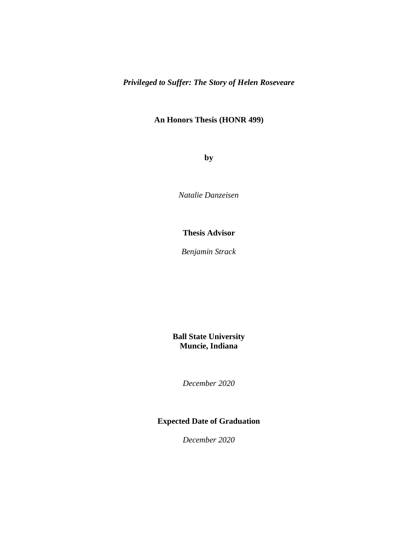*Privileged to Suffer: The Story of Helen Roseveare*

# **An Honors Thesis (HONR 499)**

**by**

*Natalie Danzeisen*

# **Thesis Advisor**

*Benjamin Strack*

**Ball State University Muncie, Indiana**

*December 2020*

# **Expected Date of Graduation**

*December 2020*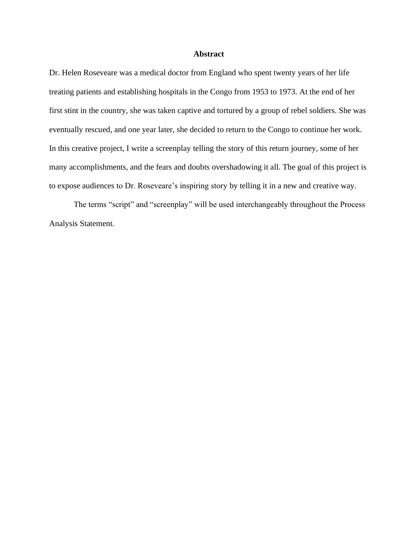# **Abstract**

Dr. Helen Roseveare was a medical doctor from England who spent twenty years of her life treating patients and establishing hospitals in the Congo from 1953 to 1973. At the end of her first stint in the country, she was taken captive and tortured by a group of rebel soldiers. She was eventually rescued, and one year later, she decided to return to the Congo to continue her work. In this creative project, I write a screenplay telling the story of this return journey, some of her many accomplishments, and the fears and doubts overshadowing it all. The goal of this project is to expose audiences to Dr. Roseveare's inspiring story by telling it in a new and creative way.

The terms "script" and "screenplay" will be used interchangeably throughout the Process Analysis Statement.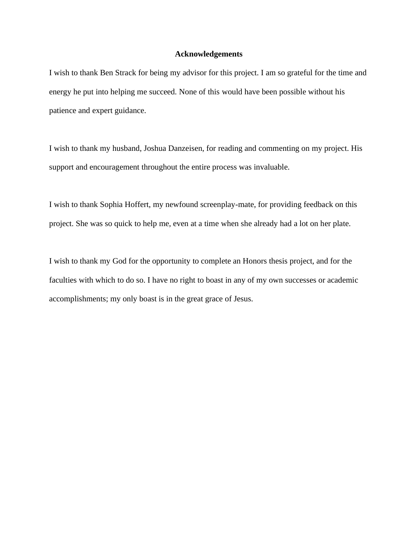## **Acknowledgements**

I wish to thank Ben Strack for being my advisor for this project. I am so grateful for the time and energy he put into helping me succeed. None of this would have been possible without his patience and expert guidance.

I wish to thank my husband, Joshua Danzeisen, for reading and commenting on my project. His support and encouragement throughout the entire process was invaluable.

I wish to thank Sophia Hoffert, my newfound screenplay-mate, for providing feedback on this project. She was so quick to help me, even at a time when she already had a lot on her plate.

I wish to thank my God for the opportunity to complete an Honors thesis project, and for the faculties with which to do so. I have no right to boast in any of my own successes or academic accomplishments; my only boast is in the great grace of Jesus.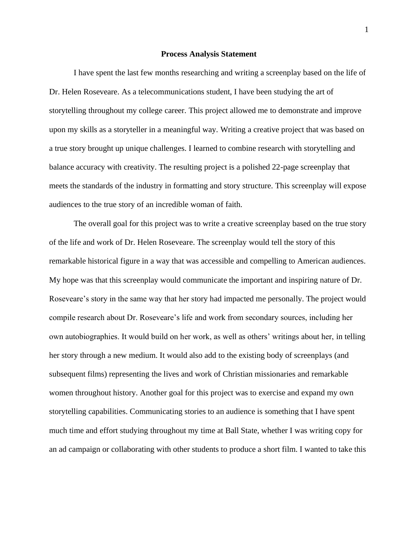### **Process Analysis Statement**

I have spent the last few months researching and writing a screenplay based on the life of Dr. Helen Roseveare. As a telecommunications student, I have been studying the art of storytelling throughout my college career. This project allowed me to demonstrate and improve upon my skills as a storyteller in a meaningful way. Writing a creative project that was based on a true story brought up unique challenges. I learned to combine research with storytelling and balance accuracy with creativity. The resulting project is a polished 22-page screenplay that meets the standards of the industry in formatting and story structure. This screenplay will expose audiences to the true story of an incredible woman of faith.

The overall goal for this project was to write a creative screenplay based on the true story of the life and work of Dr. Helen Roseveare. The screenplay would tell the story of this remarkable historical figure in a way that was accessible and compelling to American audiences. My hope was that this screenplay would communicate the important and inspiring nature of Dr. Roseveare's story in the same way that her story had impacted me personally. The project would compile research about Dr. Roseveare's life and work from secondary sources, including her own autobiographies. It would build on her work, as well as others' writings about her, in telling her story through a new medium. It would also add to the existing body of screenplays (and subsequent films) representing the lives and work of Christian missionaries and remarkable women throughout history. Another goal for this project was to exercise and expand my own storytelling capabilities. Communicating stories to an audience is something that I have spent much time and effort studying throughout my time at Ball State, whether I was writing copy for an ad campaign or collaborating with other students to produce a short film. I wanted to take this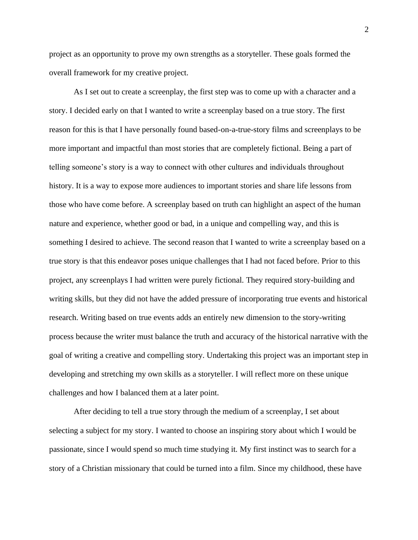project as an opportunity to prove my own strengths as a storyteller. These goals formed the overall framework for my creative project.

As I set out to create a screenplay, the first step was to come up with a character and a story. I decided early on that I wanted to write a screenplay based on a true story. The first reason for this is that I have personally found based-on-a-true-story films and screenplays to be more important and impactful than most stories that are completely fictional. Being a part of telling someone's story is a way to connect with other cultures and individuals throughout history. It is a way to expose more audiences to important stories and share life lessons from those who have come before. A screenplay based on truth can highlight an aspect of the human nature and experience, whether good or bad, in a unique and compelling way, and this is something I desired to achieve. The second reason that I wanted to write a screenplay based on a true story is that this endeavor poses unique challenges that I had not faced before. Prior to this project, any screenplays I had written were purely fictional. They required story-building and writing skills, but they did not have the added pressure of incorporating true events and historical research. Writing based on true events adds an entirely new dimension to the story-writing process because the writer must balance the truth and accuracy of the historical narrative with the goal of writing a creative and compelling story. Undertaking this project was an important step in developing and stretching my own skills as a storyteller. I will reflect more on these unique challenges and how I balanced them at a later point.

After deciding to tell a true story through the medium of a screenplay, I set about selecting a subject for my story. I wanted to choose an inspiring story about which I would be passionate, since I would spend so much time studying it. My first instinct was to search for a story of a Christian missionary that could be turned into a film. Since my childhood, these have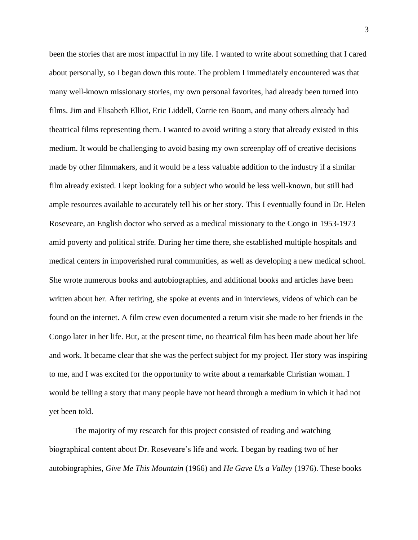been the stories that are most impactful in my life. I wanted to write about something that I cared about personally, so I began down this route. The problem I immediately encountered was that many well-known missionary stories, my own personal favorites, had already been turned into films. Jim and Elisabeth Elliot, Eric Liddell, Corrie ten Boom, and many others already had theatrical films representing them. I wanted to avoid writing a story that already existed in this medium. It would be challenging to avoid basing my own screenplay off of creative decisions made by other filmmakers, and it would be a less valuable addition to the industry if a similar film already existed. I kept looking for a subject who would be less well-known, but still had ample resources available to accurately tell his or her story. This I eventually found in Dr. Helen Roseveare, an English doctor who served as a medical missionary to the Congo in 1953-1973 amid poverty and political strife. During her time there, she established multiple hospitals and medical centers in impoverished rural communities, as well as developing a new medical school. She wrote numerous books and autobiographies, and additional books and articles have been written about her. After retiring, she spoke at events and in interviews, videos of which can be found on the internet. A film crew even documented a return visit she made to her friends in the Congo later in her life. But, at the present time, no theatrical film has been made about her life and work. It became clear that she was the perfect subject for my project. Her story was inspiring to me, and I was excited for the opportunity to write about a remarkable Christian woman. I would be telling a story that many people have not heard through a medium in which it had not yet been told.

The majority of my research for this project consisted of reading and watching biographical content about Dr. Roseveare's life and work. I began by reading two of her autobiographies, *Give Me This Mountain* (1966) and *He Gave Us a Valley* (1976). These books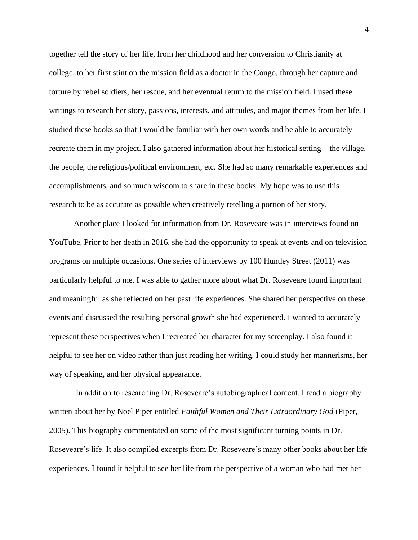together tell the story of her life, from her childhood and her conversion to Christianity at college, to her first stint on the mission field as a doctor in the Congo, through her capture and torture by rebel soldiers, her rescue, and her eventual return to the mission field. I used these writings to research her story, passions, interests, and attitudes, and major themes from her life. I studied these books so that I would be familiar with her own words and be able to accurately recreate them in my project. I also gathered information about her historical setting – the village, the people, the religious/political environment, etc. She had so many remarkable experiences and accomplishments, and so much wisdom to share in these books. My hope was to use this research to be as accurate as possible when creatively retelling a portion of her story.

Another place I looked for information from Dr. Roseveare was in interviews found on YouTube. Prior to her death in 2016, she had the opportunity to speak at events and on television programs on multiple occasions. One series of interviews by 100 Huntley Street (2011) was particularly helpful to me. I was able to gather more about what Dr. Roseveare found important and meaningful as she reflected on her past life experiences. She shared her perspective on these events and discussed the resulting personal growth she had experienced. I wanted to accurately represent these perspectives when I recreated her character for my screenplay. I also found it helpful to see her on video rather than just reading her writing. I could study her mannerisms, her way of speaking, and her physical appearance.

In addition to researching Dr. Roseveare's autobiographical content, I read a biography written about her by Noel Piper entitled *Faithful Women and Their Extraordinary God* (Piper, 2005). This biography commentated on some of the most significant turning points in Dr. Roseveare's life. It also compiled excerpts from Dr. Roseveare's many other books about her life experiences. I found it helpful to see her life from the perspective of a woman who had met her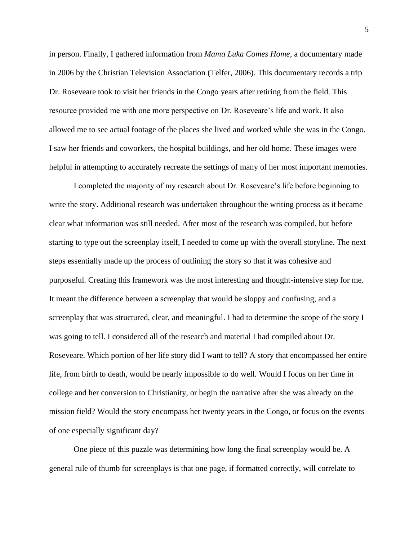in person. Finally, I gathered information from *Mama Luka Comes Home*, a documentary made in 2006 by the Christian Television Association (Telfer, 2006). This documentary records a trip Dr. Roseveare took to visit her friends in the Congo years after retiring from the field. This resource provided me with one more perspective on Dr. Roseveare's life and work. It also allowed me to see actual footage of the places she lived and worked while she was in the Congo. I saw her friends and coworkers, the hospital buildings, and her old home. These images were helpful in attempting to accurately recreate the settings of many of her most important memories.

I completed the majority of my research about Dr. Roseveare's life before beginning to write the story. Additional research was undertaken throughout the writing process as it became clear what information was still needed. After most of the research was compiled, but before starting to type out the screenplay itself, I needed to come up with the overall storyline. The next steps essentially made up the process of outlining the story so that it was cohesive and purposeful. Creating this framework was the most interesting and thought-intensive step for me. It meant the difference between a screenplay that would be sloppy and confusing, and a screenplay that was structured, clear, and meaningful. I had to determine the scope of the story I was going to tell. I considered all of the research and material I had compiled about Dr. Roseveare. Which portion of her life story did I want to tell? A story that encompassed her entire life, from birth to death, would be nearly impossible to do well. Would I focus on her time in college and her conversion to Christianity, or begin the narrative after she was already on the mission field? Would the story encompass her twenty years in the Congo, or focus on the events of one especially significant day?

One piece of this puzzle was determining how long the final screenplay would be. A general rule of thumb for screenplays is that one page, if formatted correctly, will correlate to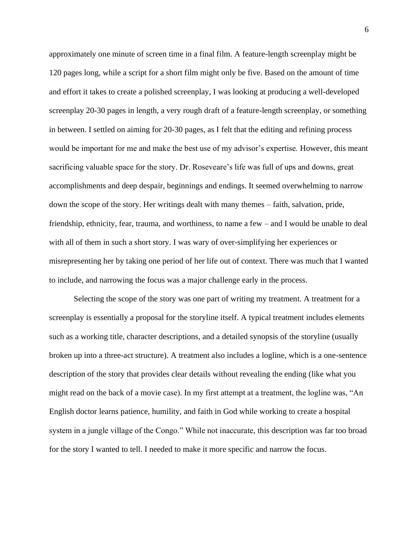approximately one minute of screen time in a final film. A feature-length screenplay might be 120 pages long, while a script for a short film might only be five. Based on the amount of time and effort it takes to create a polished screenplay, I was looking at producing a well-developed screenplay 20-30 pages in length, a very rough draft of a feature-length screenplay, or something in between. I settled on aiming for 20-30 pages, as I felt that the editing and refining process would be important for me and make the best use of my advisor's expertise. However, this meant sacrificing valuable space for the story. Dr. Roseveare's life was full of ups and downs, great accomplishments and deep despair, beginnings and endings. It seemed overwhelming to narrow down the scope of the story. Her writings dealt with many themes – faith, salvation, pride, friendship, ethnicity, fear, trauma, and worthiness, to name a few – and I would be unable to deal with all of them in such a short story. I was wary of over-simplifying her experiences or misrepresenting her by taking one period of her life out of context. There was much that I wanted to include, and narrowing the focus was a major challenge early in the process.

Selecting the scope of the story was one part of writing my treatment. A treatment for a screenplay is essentially a proposal for the storyline itself. A typical treatment includes elements such as a working title, character descriptions, and a detailed synopsis of the storyline (usually broken up into a three-act structure). A treatment also includes a logline, which is a one-sentence description of the story that provides clear details without revealing the ending (like what you might read on the back of a movie case). In my first attempt at a treatment, the logline was, "An English doctor learns patience, humility, and faith in God while working to create a hospital system in a jungle village of the Congo." While not inaccurate, this description was far too broad for the story I wanted to tell. I needed to make it more specific and narrow the focus.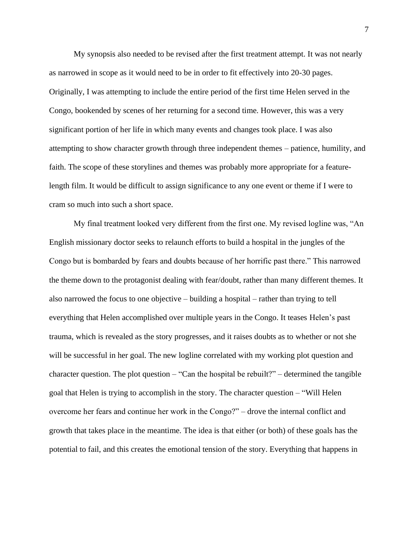My synopsis also needed to be revised after the first treatment attempt. It was not nearly as narrowed in scope as it would need to be in order to fit effectively into 20-30 pages. Originally, I was attempting to include the entire period of the first time Helen served in the Congo, bookended by scenes of her returning for a second time. However, this was a very significant portion of her life in which many events and changes took place. I was also attempting to show character growth through three independent themes – patience, humility, and faith. The scope of these storylines and themes was probably more appropriate for a featurelength film. It would be difficult to assign significance to any one event or theme if I were to cram so much into such a short space.

My final treatment looked very different from the first one. My revised logline was, "An English missionary doctor seeks to relaunch efforts to build a hospital in the jungles of the Congo but is bombarded by fears and doubts because of her horrific past there." This narrowed the theme down to the protagonist dealing with fear/doubt, rather than many different themes. It also narrowed the focus to one objective – building a hospital – rather than trying to tell everything that Helen accomplished over multiple years in the Congo. It teases Helen's past trauma, which is revealed as the story progresses, and it raises doubts as to whether or not she will be successful in her goal. The new logline correlated with my working plot question and character question. The plot question – "Can the hospital be rebuilt?" – determined the tangible goal that Helen is trying to accomplish in the story. The character question – "Will Helen overcome her fears and continue her work in the Congo?" – drove the internal conflict and growth that takes place in the meantime. The idea is that either (or both) of these goals has the potential to fail, and this creates the emotional tension of the story. Everything that happens in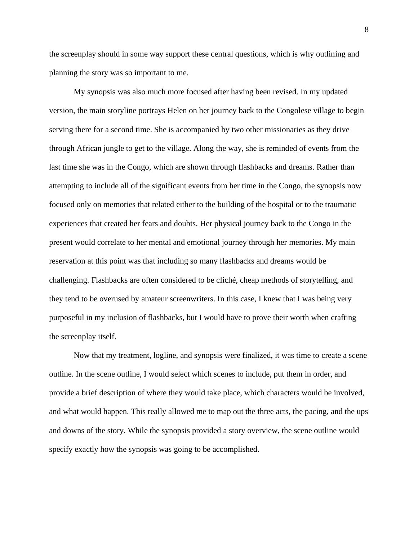the screenplay should in some way support these central questions, which is why outlining and planning the story was so important to me.

My synopsis was also much more focused after having been revised. In my updated version, the main storyline portrays Helen on her journey back to the Congolese village to begin serving there for a second time. She is accompanied by two other missionaries as they drive through African jungle to get to the village. Along the way, she is reminded of events from the last time she was in the Congo, which are shown through flashbacks and dreams. Rather than attempting to include all of the significant events from her time in the Congo, the synopsis now focused only on memories that related either to the building of the hospital or to the traumatic experiences that created her fears and doubts. Her physical journey back to the Congo in the present would correlate to her mental and emotional journey through her memories. My main reservation at this point was that including so many flashbacks and dreams would be challenging. Flashbacks are often considered to be cliché, cheap methods of storytelling, and they tend to be overused by amateur screenwriters. In this case, I knew that I was being very purposeful in my inclusion of flashbacks, but I would have to prove their worth when crafting the screenplay itself.

Now that my treatment, logline, and synopsis were finalized, it was time to create a scene outline. In the scene outline, I would select which scenes to include, put them in order, and provide a brief description of where they would take place, which characters would be involved, and what would happen. This really allowed me to map out the three acts, the pacing, and the ups and downs of the story. While the synopsis provided a story overview, the scene outline would specify exactly how the synopsis was going to be accomplished.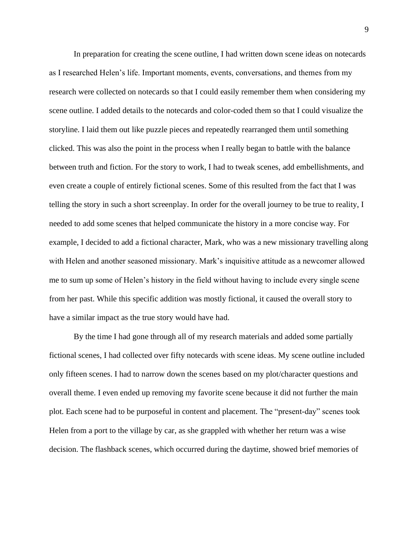In preparation for creating the scene outline, I had written down scene ideas on notecards as I researched Helen's life. Important moments, events, conversations, and themes from my research were collected on notecards so that I could easily remember them when considering my scene outline. I added details to the notecards and color-coded them so that I could visualize the storyline. I laid them out like puzzle pieces and repeatedly rearranged them until something clicked. This was also the point in the process when I really began to battle with the balance between truth and fiction. For the story to work, I had to tweak scenes, add embellishments, and even create a couple of entirely fictional scenes. Some of this resulted from the fact that I was telling the story in such a short screenplay. In order for the overall journey to be true to reality, I needed to add some scenes that helped communicate the history in a more concise way. For example, I decided to add a fictional character, Mark, who was a new missionary travelling along with Helen and another seasoned missionary. Mark's inquisitive attitude as a newcomer allowed me to sum up some of Helen's history in the field without having to include every single scene from her past. While this specific addition was mostly fictional, it caused the overall story to have a similar impact as the true story would have had.

By the time I had gone through all of my research materials and added some partially fictional scenes, I had collected over fifty notecards with scene ideas. My scene outline included only fifteen scenes. I had to narrow down the scenes based on my plot/character questions and overall theme. I even ended up removing my favorite scene because it did not further the main plot. Each scene had to be purposeful in content and placement. The "present-day" scenes took Helen from a port to the village by car, as she grappled with whether her return was a wise decision. The flashback scenes, which occurred during the daytime, showed brief memories of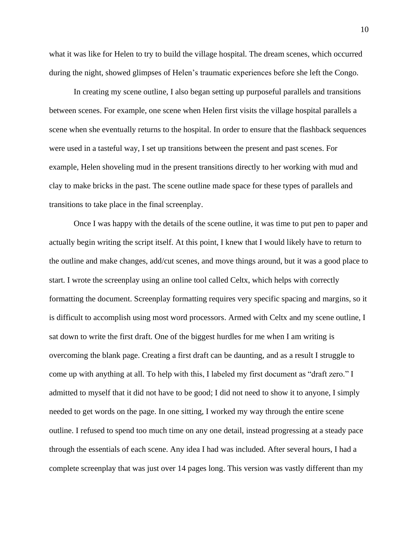what it was like for Helen to try to build the village hospital. The dream scenes, which occurred during the night, showed glimpses of Helen's traumatic experiences before she left the Congo.

In creating my scene outline, I also began setting up purposeful parallels and transitions between scenes. For example, one scene when Helen first visits the village hospital parallels a scene when she eventually returns to the hospital. In order to ensure that the flashback sequences were used in a tasteful way, I set up transitions between the present and past scenes. For example, Helen shoveling mud in the present transitions directly to her working with mud and clay to make bricks in the past. The scene outline made space for these types of parallels and transitions to take place in the final screenplay.

Once I was happy with the details of the scene outline, it was time to put pen to paper and actually begin writing the script itself. At this point, I knew that I would likely have to return to the outline and make changes, add/cut scenes, and move things around, but it was a good place to start. I wrote the screenplay using an online tool called Celtx, which helps with correctly formatting the document. Screenplay formatting requires very specific spacing and margins, so it is difficult to accomplish using most word processors. Armed with Celtx and my scene outline, I sat down to write the first draft. One of the biggest hurdles for me when I am writing is overcoming the blank page. Creating a first draft can be daunting, and as a result I struggle to come up with anything at all. To help with this, I labeled my first document as "draft zero." I admitted to myself that it did not have to be good; I did not need to show it to anyone, I simply needed to get words on the page. In one sitting, I worked my way through the entire scene outline. I refused to spend too much time on any one detail, instead progressing at a steady pace through the essentials of each scene. Any idea I had was included. After several hours, I had a complete screenplay that was just over 14 pages long. This version was vastly different than my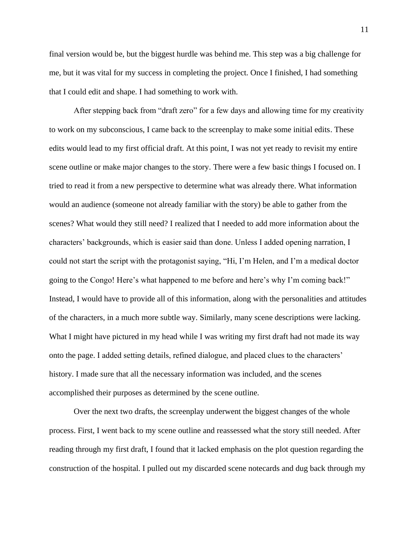final version would be, but the biggest hurdle was behind me. This step was a big challenge for me, but it was vital for my success in completing the project. Once I finished, I had something that I could edit and shape. I had something to work with.

After stepping back from "draft zero" for a few days and allowing time for my creativity to work on my subconscious, I came back to the screenplay to make some initial edits. These edits would lead to my first official draft. At this point, I was not yet ready to revisit my entire scene outline or make major changes to the story. There were a few basic things I focused on. I tried to read it from a new perspective to determine what was already there. What information would an audience (someone not already familiar with the story) be able to gather from the scenes? What would they still need? I realized that I needed to add more information about the characters' backgrounds, which is easier said than done. Unless I added opening narration, I could not start the script with the protagonist saying, "Hi, I'm Helen, and I'm a medical doctor going to the Congo! Here's what happened to me before and here's why I'm coming back!" Instead, I would have to provide all of this information, along with the personalities and attitudes of the characters, in a much more subtle way. Similarly, many scene descriptions were lacking. What I might have pictured in my head while I was writing my first draft had not made its way onto the page. I added setting details, refined dialogue, and placed clues to the characters' history. I made sure that all the necessary information was included, and the scenes accomplished their purposes as determined by the scene outline.

Over the next two drafts, the screenplay underwent the biggest changes of the whole process. First, I went back to my scene outline and reassessed what the story still needed. After reading through my first draft, I found that it lacked emphasis on the plot question regarding the construction of the hospital. I pulled out my discarded scene notecards and dug back through my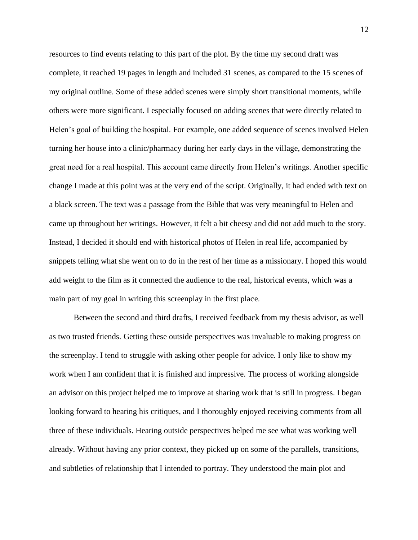resources to find events relating to this part of the plot. By the time my second draft was complete, it reached 19 pages in length and included 31 scenes, as compared to the 15 scenes of my original outline. Some of these added scenes were simply short transitional moments, while others were more significant. I especially focused on adding scenes that were directly related to Helen's goal of building the hospital. For example, one added sequence of scenes involved Helen turning her house into a clinic/pharmacy during her early days in the village, demonstrating the great need for a real hospital. This account came directly from Helen's writings. Another specific change I made at this point was at the very end of the script. Originally, it had ended with text on a black screen. The text was a passage from the Bible that was very meaningful to Helen and came up throughout her writings. However, it felt a bit cheesy and did not add much to the story. Instead, I decided it should end with historical photos of Helen in real life, accompanied by snippets telling what she went on to do in the rest of her time as a missionary. I hoped this would add weight to the film as it connected the audience to the real, historical events, which was a main part of my goal in writing this screenplay in the first place.

Between the second and third drafts, I received feedback from my thesis advisor, as well as two trusted friends. Getting these outside perspectives was invaluable to making progress on the screenplay. I tend to struggle with asking other people for advice. I only like to show my work when I am confident that it is finished and impressive. The process of working alongside an advisor on this project helped me to improve at sharing work that is still in progress. I began looking forward to hearing his critiques, and I thoroughly enjoyed receiving comments from all three of these individuals. Hearing outside perspectives helped me see what was working well already. Without having any prior context, they picked up on some of the parallels, transitions, and subtleties of relationship that I intended to portray. They understood the main plot and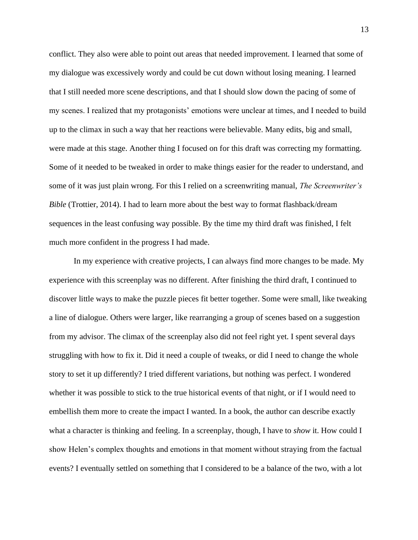conflict. They also were able to point out areas that needed improvement. I learned that some of my dialogue was excessively wordy and could be cut down without losing meaning. I learned that I still needed more scene descriptions, and that I should slow down the pacing of some of my scenes. I realized that my protagonists' emotions were unclear at times, and I needed to build up to the climax in such a way that her reactions were believable. Many edits, big and small, were made at this stage. Another thing I focused on for this draft was correcting my formatting. Some of it needed to be tweaked in order to make things easier for the reader to understand, and some of it was just plain wrong. For this I relied on a screenwriting manual, *The Screenwriter's Bible* (Trottier, 2014). I had to learn more about the best way to format flashback/dream sequences in the least confusing way possible. By the time my third draft was finished, I felt much more confident in the progress I had made.

In my experience with creative projects, I can always find more changes to be made. My experience with this screenplay was no different. After finishing the third draft, I continued to discover little ways to make the puzzle pieces fit better together. Some were small, like tweaking a line of dialogue. Others were larger, like rearranging a group of scenes based on a suggestion from my advisor. The climax of the screenplay also did not feel right yet. I spent several days struggling with how to fix it. Did it need a couple of tweaks, or did I need to change the whole story to set it up differently? I tried different variations, but nothing was perfect. I wondered whether it was possible to stick to the true historical events of that night, or if I would need to embellish them more to create the impact I wanted. In a book, the author can describe exactly what a character is thinking and feeling. In a screenplay, though, I have to *show* it. How could I show Helen's complex thoughts and emotions in that moment without straying from the factual events? I eventually settled on something that I considered to be a balance of the two, with a lot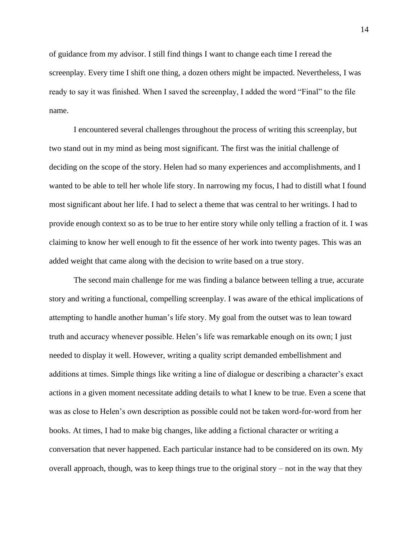of guidance from my advisor. I still find things I want to change each time I reread the screenplay. Every time I shift one thing, a dozen others might be impacted. Nevertheless, I was ready to say it was finished. When I saved the screenplay, I added the word "Final" to the file name.

I encountered several challenges throughout the process of writing this screenplay, but two stand out in my mind as being most significant. The first was the initial challenge of deciding on the scope of the story. Helen had so many experiences and accomplishments, and I wanted to be able to tell her whole life story. In narrowing my focus, I had to distill what I found most significant about her life. I had to select a theme that was central to her writings. I had to provide enough context so as to be true to her entire story while only telling a fraction of it. I was claiming to know her well enough to fit the essence of her work into twenty pages. This was an added weight that came along with the decision to write based on a true story.

The second main challenge for me was finding a balance between telling a true, accurate story and writing a functional, compelling screenplay. I was aware of the ethical implications of attempting to handle another human's life story. My goal from the outset was to lean toward truth and accuracy whenever possible. Helen's life was remarkable enough on its own; I just needed to display it well. However, writing a quality script demanded embellishment and additions at times. Simple things like writing a line of dialogue or describing a character's exact actions in a given moment necessitate adding details to what I knew to be true. Even a scene that was as close to Helen's own description as possible could not be taken word-for-word from her books. At times, I had to make big changes, like adding a fictional character or writing a conversation that never happened. Each particular instance had to be considered on its own. My overall approach, though, was to keep things true to the original story – not in the way that they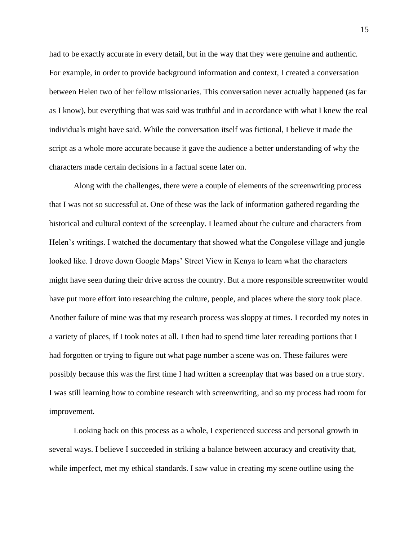had to be exactly accurate in every detail, but in the way that they were genuine and authentic. For example, in order to provide background information and context, I created a conversation between Helen two of her fellow missionaries. This conversation never actually happened (as far as I know), but everything that was said was truthful and in accordance with what I knew the real individuals might have said. While the conversation itself was fictional, I believe it made the script as a whole more accurate because it gave the audience a better understanding of why the characters made certain decisions in a factual scene later on.

Along with the challenges, there were a couple of elements of the screenwriting process that I was not so successful at. One of these was the lack of information gathered regarding the historical and cultural context of the screenplay. I learned about the culture and characters from Helen's writings. I watched the documentary that showed what the Congolese village and jungle looked like. I drove down Google Maps' Street View in Kenya to learn what the characters might have seen during their drive across the country. But a more responsible screenwriter would have put more effort into researching the culture, people, and places where the story took place. Another failure of mine was that my research process was sloppy at times. I recorded my notes in a variety of places, if I took notes at all. I then had to spend time later rereading portions that I had forgotten or trying to figure out what page number a scene was on. These failures were possibly because this was the first time I had written a screenplay that was based on a true story. I was still learning how to combine research with screenwriting, and so my process had room for improvement.

Looking back on this process as a whole, I experienced success and personal growth in several ways. I believe I succeeded in striking a balance between accuracy and creativity that, while imperfect, met my ethical standards. I saw value in creating my scene outline using the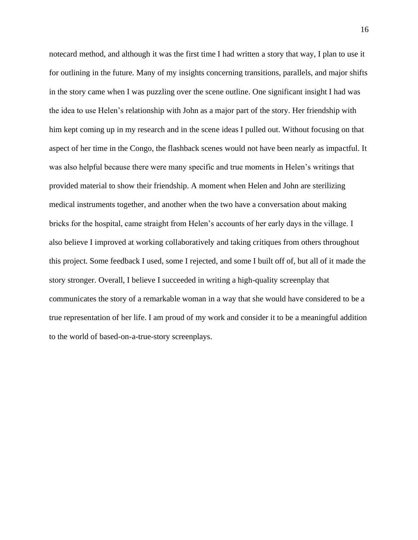notecard method, and although it was the first time I had written a story that way, I plan to use it for outlining in the future. Many of my insights concerning transitions, parallels, and major shifts in the story came when I was puzzling over the scene outline. One significant insight I had was the idea to use Helen's relationship with John as a major part of the story. Her friendship with him kept coming up in my research and in the scene ideas I pulled out. Without focusing on that aspect of her time in the Congo, the flashback scenes would not have been nearly as impactful. It was also helpful because there were many specific and true moments in Helen's writings that provided material to show their friendship. A moment when Helen and John are sterilizing medical instruments together, and another when the two have a conversation about making bricks for the hospital, came straight from Helen's accounts of her early days in the village. I also believe I improved at working collaboratively and taking critiques from others throughout this project. Some feedback I used, some I rejected, and some I built off of, but all of it made the story stronger. Overall, I believe I succeeded in writing a high-quality screenplay that communicates the story of a remarkable woman in a way that she would have considered to be a true representation of her life. I am proud of my work and consider it to be a meaningful addition to the world of based-on-a-true-story screenplays.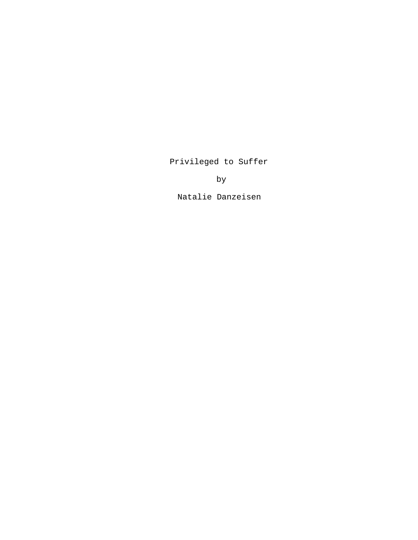# Privileged to Suffer

by

Natalie Danzeisen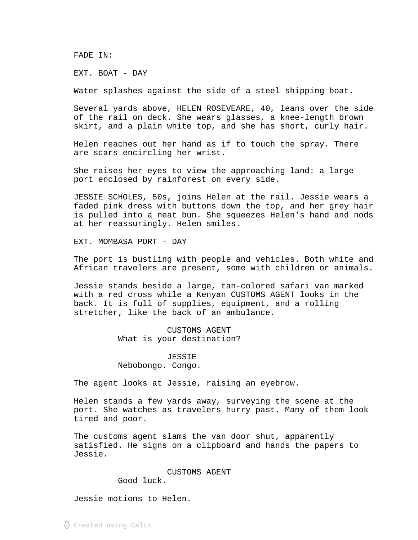FADE IN:

EXT. BOAT - DAY

Water splashes against the side of a steel shipping boat.

Several yards above, HELEN ROSEVEARE, 40, leans over the side of the rail on deck. She wears glasses, a knee-length brown skirt, and a plain white top, and she has short, curly hair.

Helen reaches out her hand as if to touch the spray. There are scars encircling her wrist.

She raises her eyes to view the approaching land: a large port enclosed by rainforest on every side.

JESSIE SCHOLES, 50s, joins Helen at the rail. Jessie wears a faded pink dress with buttons down the top, and her grey hair is pulled into a neat bun. She squeezes Helen's hand and nods at her reassuringly. Helen smiles.

EXT. MOMBASA PORT - DAY

The port is bustling with people and vehicles. Both white and African travelers are present, some with children or animals.

Jessie stands beside a large, tan-colored safari van marked with a red cross while a Kenyan CUSTOMS AGENT looks in the back. It is full of supplies, equipment, and a rolling stretcher, like the back of an ambulance.

> CUSTOMS AGENT What is your destination?

JESSIE Nebobongo. Congo.

The agent looks at Jessie, raising an eyebrow.

Helen stands a few yards away, surveying the scene at the port. She watches as travelers hurry past. Many of them look tired and poor.

The customs agent slams the van door shut, apparently satisfied. He signs on a clipboard and hands the papers to Jessie.

CUSTOMS AGENT

Good luck.

Jessie motions to Helen.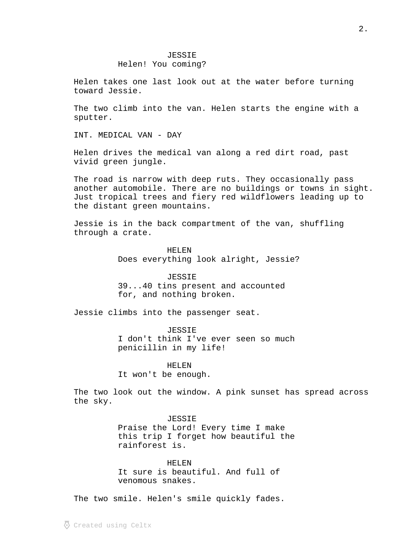## JESSIE Helen! You coming?

Helen takes one last look out at the water before turning toward Jessie.

The two climb into the van. Helen starts the engine with a sputter.

INT. MEDICAL VAN - DAY

Helen drives the medical van along a red dirt road, past vivid green jungle.

The road is narrow with deep ruts. They occasionally pass another automobile. There are no buildings or towns in sight. Just tropical trees and fiery red wildflowers leading up to the distant green mountains.

Jessie is in the back compartment of the van, shuffling through a crate.

> HELEN Does everything look alright, Jessie?

### JESSIE

39...40 tins present and accounted for, and nothing broken.

Jessie climbs into the passenger seat.

JESSIE I don't think I've ever seen so much penicillin in my life!

HELEN

It won't be enough.

The two look out the window. A pink sunset has spread across the sky.

> JESSIE Praise the Lord! Every time I make this trip I forget how beautiful the rainforest is.

HELEN It sure is beautiful. And full of venomous snakes.

The two smile. Helen's smile quickly fades.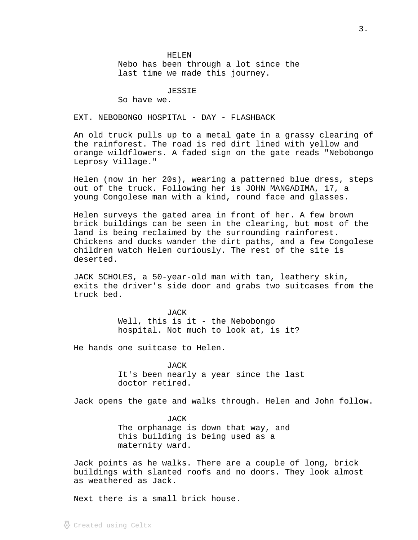HELEN

Nebo has been through a lot since the last time we made this journey.

JESSIE

So have we.

EXT. NEBOBONGO HOSPITAL - DAY - FLASHBACK

An old truck pulls up to a metal gate in a grassy clearing of the rainforest. The road is red dirt lined with yellow and orange wildflowers. A faded sign on the gate reads "Nebobongo Leprosy Village."

Helen (now in her 20s), wearing a patterned blue dress, steps out of the truck. Following her is JOHN MANGADIMA, 17, a young Congolese man with a kind, round face and glasses.

Helen surveys the gated area in front of her. A few brown brick buildings can be seen in the clearing, but most of the land is being reclaimed by the surrounding rainforest. Chickens and ducks wander the dirt paths, and a few Congolese children watch Helen curiously. The rest of the site is deserted.

JACK SCHOLES, a 50-year-old man with tan, leathery skin, exits the driver's side door and grabs two suitcases from the truck bed.

> JACK Well, this is it - the Nebobongo hospital. Not much to look at, is it?

He hands one suitcase to Helen.

JACK It's been nearly a year since the last doctor retired.

Jack opens the gate and walks through. Helen and John follow.

JACK The orphanage is down that way, and this building is being used as a maternity ward.

Jack points as he walks. There are a couple of long, brick buildings with slanted roofs and no doors. They look almost as weathered as Jack.

Next there is a small brick house.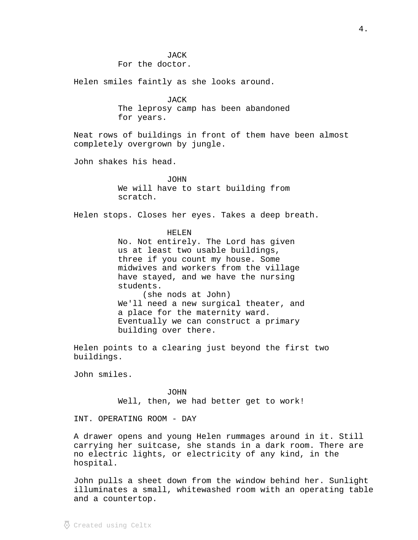#### **JACK**

For the doctor.

Helen smiles faintly as she looks around.

JACK

The leprosy camp has been abandoned for years.

Neat rows of buildings in front of them have been almost completely overgrown by jungle.

John shakes his head.

JOHN

We will have to start building from scratch.

Helen stops. Closes her eyes. Takes a deep breath.

## HELEN

No. Not entirely. The Lord has given us at least two usable buildings, three if you count my house. Some midwives and workers from the village have stayed, and we have the nursing students. (she nods at John) We'll need a new surgical theater, and a place for the maternity ward. Eventually we can construct a primary building over there.

Helen points to a clearing just beyond the first two buildings.

John smiles.

#### JOHN

Well, then, we had better get to work!

INT. OPERATING ROOM - DAY

A drawer opens and young Helen rummages around in it. Still carrying her suitcase, she stands in a dark room. There are no electric lights, or electricity of any kind, in the hospital.

John pulls a sheet down from the window behind her. Sunlight illuminates a small, whitewashed room with an operating table and a countertop.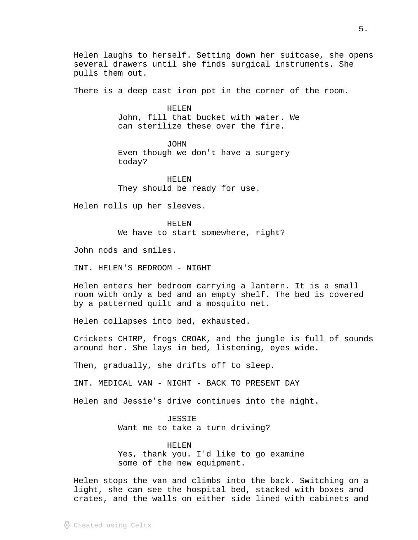Helen laughs to herself. Setting down her suitcase, she opens several drawers until she finds surgical instruments. She pulls them out.

There is a deep cast iron pot in the corner of the room.

HELEN John, fill that bucket with water. We can sterilize these over the fire.

JOHN Even though we don't have a surgery today?

HELEN They should be ready for use.

Helen rolls up her sleeves.

HELEN We have to start somewhere, right?

John nods and smiles.

INT. HELEN'S BEDROOM - NIGHT

Helen enters her bedroom carrying a lantern. It is a small room with only a bed and an empty shelf. The bed is covered by a patterned quilt and a mosquito net.

Helen collapses into bed, exhausted.

Crickets CHIRP, frogs CROAK, and the jungle is full of sounds around her. She lays in bed, listening, eyes wide.

Then, gradually, she drifts off to sleep.

INT. MEDICAL VAN - NIGHT - BACK TO PRESENT DAY

Helen and Jessie's drive continues into the night.

JESSIE Want me to take a turn driving?

HELEN Yes, thank you. I'd like to go examine some of the new equipment.

Helen stops the van and climbs into the back. Switching on a light, she can see the hospital bed, stacked with boxes and crates, and the walls on either side lined with cabinets and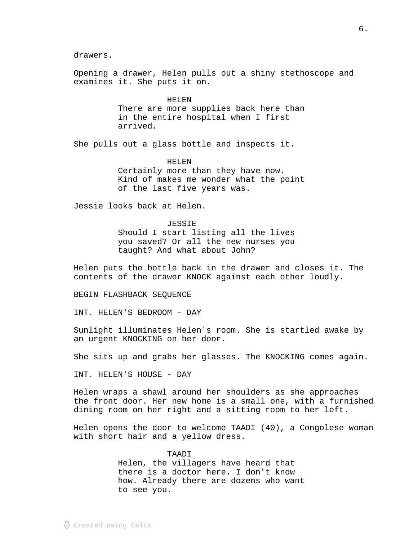drawers.

Opening a drawer, Helen pulls out a shiny stethoscope and examines it. She puts it on.

> HELEN There are more supplies back here than in the entire hospital when I first arrived.

She pulls out a glass bottle and inspects it.

HELEN Certainly more than they have now. Kind of makes me wonder what the point of the last five years was.

Jessie looks back at Helen.

JESSIE Should I start listing all the lives you saved? Or all the new nurses you taught? And what about John?

Helen puts the bottle back in the drawer and closes it. The contents of the drawer KNOCK against each other loudly.

BEGIN FLASHBACK SEQUENCE

INT. HELEN'S BEDROOM - DAY

Sunlight illuminates Helen's room. She is startled awake by an urgent KNOCKING on her door.

She sits up and grabs her glasses. The KNOCKING comes again.

INT. HELEN'S HOUSE - DAY

Helen wraps a shawl around her shoulders as she approaches the front door. Her new home is a small one, with a furnished dining room on her right and a sitting room to her left.

Helen opens the door to welcome TAADI (40), a Congolese woman with short hair and a yellow dress.

> TAADI Helen, the villagers have heard that there is a doctor here. I don't know how. Already there are dozens who want to see you.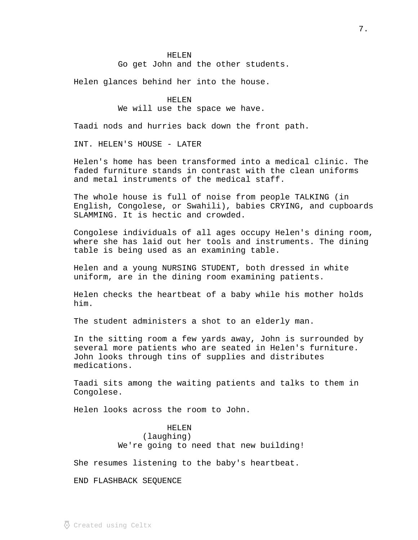#### HELEN

Go get John and the other students.

Helen glances behind her into the house.

HELEN We will use the space we have.

Taadi nods and hurries back down the front path.

INT. HELEN'S HOUSE - LATER

Helen's home has been transformed into a medical clinic. The faded furniture stands in contrast with the clean uniforms and metal instruments of the medical staff.

The whole house is full of noise from people TALKING (in English, Congolese, or Swahili), babies CRYING, and cupboards SLAMMING. It is hectic and crowded.

Congolese individuals of all ages occupy Helen's dining room, where she has laid out her tools and instruments. The dining table is being used as an examining table.

Helen and a young NURSING STUDENT, both dressed in white uniform, are in the dining room examining patients.

Helen checks the heartbeat of a baby while his mother holds him.

The student administers a shot to an elderly man.

In the sitting room a few yards away, John is surrounded by several more patients who are seated in Helen's furniture. John looks through tins of supplies and distributes medications.

Taadi sits among the waiting patients and talks to them in Congolese.

Helen looks across the room to John.

#### HELEN

(laughing) We're going to need that new building!

She resumes listening to the baby's heartbeat.

END FLASHBACK SEQUENCE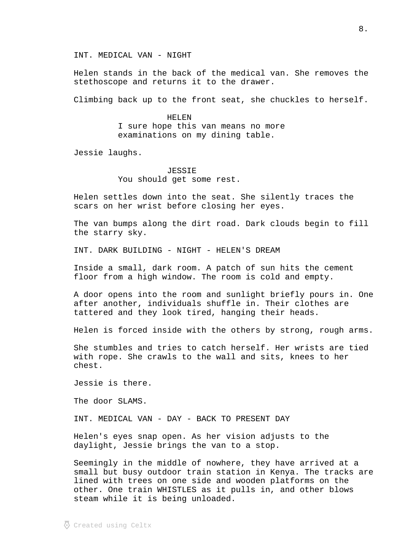INT. MEDICAL VAN - NIGHT

Helen stands in the back of the medical van. She removes the stethoscope and returns it to the drawer.

Climbing back up to the front seat, she chuckles to herself.

HELEN I sure hope this van means no more examinations on my dining table.

Jessie laughs.

JESSIE You should get some rest.

Helen settles down into the seat. She silently traces the scars on her wrist before closing her eyes.

The van bumps along the dirt road. Dark clouds begin to fill the starry sky.

INT. DARK BUILDING - NIGHT - HELEN'S DREAM

Inside a small, dark room. A patch of sun hits the cement floor from a high window. The room is cold and empty.

A door opens into the room and sunlight briefly pours in. One after another, individuals shuffle in. Their clothes are tattered and they look tired, hanging their heads.

Helen is forced inside with the others by strong, rough arms.

She stumbles and tries to catch herself. Her wrists are tied with rope. She crawls to the wall and sits, knees to her chest.

Jessie is there.

The door SLAMS.

INT. MEDICAL VAN - DAY - BACK TO PRESENT DAY

Helen's eyes snap open. As her vision adjusts to the daylight, Jessie brings the van to a stop.

Seemingly in the middle of nowhere, they have arrived at a small but busy outdoor train station in Kenya. The tracks are lined with trees on one side and wooden platforms on the other. One train WHISTLES as it pulls in, and other blows steam while it is being unloaded.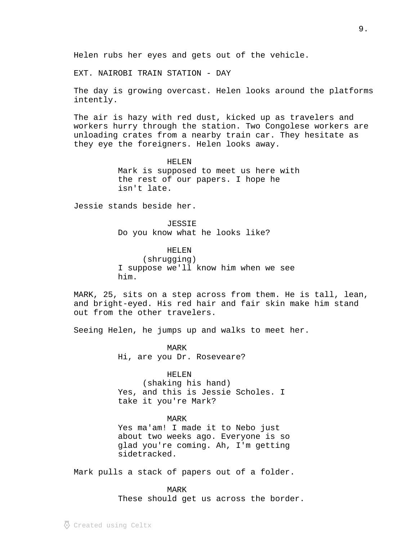Helen rubs her eyes and gets out of the vehicle.

EXT. NAIROBI TRAIN STATION - DAY

The day is growing overcast. Helen looks around the platforms intently.

The air is hazy with red dust, kicked up as travelers and workers hurry through the station. Two Congolese workers are unloading crates from a nearby train car. They hesitate as they eye the foreigners. Helen looks away.

> HELEN Mark is supposed to meet us here with the rest of our papers. I hope he isn't late.

Jessie stands beside her.

JESSIE Do you know what he looks like?

HELEN

(shrugging) I suppose we'll know him when we see him.

MARK, 25, sits on a step across from them. He is tall, lean, and bright-eyed. His red hair and fair skin make him stand out from the other travelers.

Seeing Helen, he jumps up and walks to meet her.

MARK Hi, are you Dr. Roseveare?

## HELEN

(shaking his hand) Yes, and this is Jessie Scholes. I take it you're Mark?

MARK

Yes ma'am! I made it to Nebo just about two weeks ago. Everyone is so glad you're coming. Ah, I'm getting sidetracked.

Mark pulls a stack of papers out of a folder.

MARK These should get us across the border.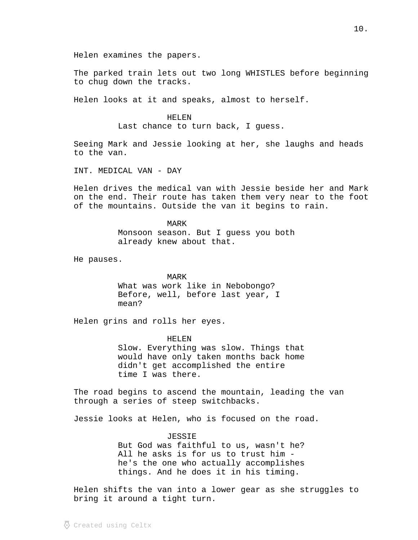Helen examines the papers.

The parked train lets out two long WHISTLES before beginning to chug down the tracks.

Helen looks at it and speaks, almost to herself.

### HELEN

Last chance to turn back, I guess.

Seeing Mark and Jessie looking at her, she laughs and heads to the van.

INT. MEDICAL VAN - DAY

Helen drives the medical van with Jessie beside her and Mark on the end. Their route has taken them very near to the foot of the mountains. Outside the van it begins to rain.

> MARK Monsoon season. But I guess you both already knew about that.

He pauses.

#### MARK

What was work like in Nebobongo? Before, well, before last year, I mean?

Helen grins and rolls her eyes.

HELEN

Slow. Everything was slow. Things that would have only taken months back home didn't get accomplished the entire time I was there.

The road begins to ascend the mountain, leading the van through a series of steep switchbacks.

Jessie looks at Helen, who is focused on the road.

#### JESSIE

But God was faithful to us, wasn't he? All he asks is for us to trust him he's the one who actually accomplishes things. And he does it in his timing.

Helen shifts the van into a lower gear as she struggles to bring it around a tight turn.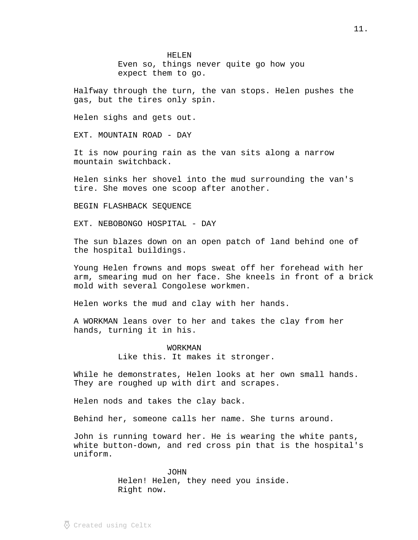HELEN Even so, things never quite go how you expect them to go.

Halfway through the turn, the van stops. Helen pushes the gas, but the tires only spin.

Helen sighs and gets out.

EXT. MOUNTAIN ROAD - DAY

It is now pouring rain as the van sits along a narrow mountain switchback.

Helen sinks her shovel into the mud surrounding the van's tire. She moves one scoop after another.

BEGIN FLASHBACK SEQUENCE

EXT. NEBOBONGO HOSPITAL - DAY

The sun blazes down on an open patch of land behind one of the hospital buildings.

Young Helen frowns and mops sweat off her forehead with her arm, smearing mud on her face. She kneels in front of a brick mold with several Congolese workmen.

Helen works the mud and clay with her hands.

A WORKMAN leans over to her and takes the clay from her hands, turning it in his.

WORKMAN

Like this. It makes it stronger.

While he demonstrates, Helen looks at her own small hands. They are roughed up with dirt and scrapes.

Helen nods and takes the clay back.

Behind her, someone calls her name. She turns around.

John is running toward her. He is wearing the white pants, white button-down, and red cross pin that is the hospital's uniform.

> JOHN Helen! Helen, they need you inside. Right now.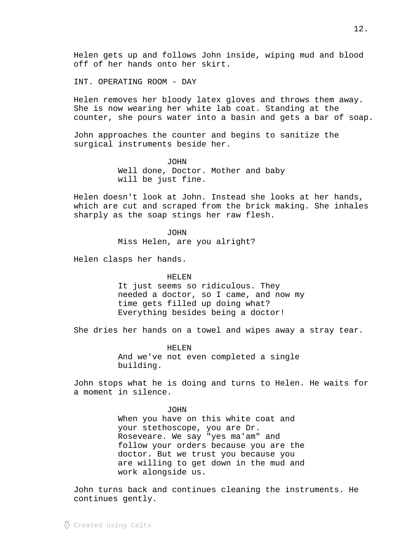Helen gets up and follows John inside, wiping mud and blood off of her hands onto her skirt.

INT. OPERATING ROOM - DAY

Helen removes her bloody latex gloves and throws them away. She is now wearing her white lab coat. Standing at the counter, she pours water into a basin and gets a bar of soap.

John approaches the counter and begins to sanitize the surgical instruments beside her.

> JOHN Well done, Doctor. Mother and baby will be just fine.

Helen doesn't look at John. Instead she looks at her hands, which are cut and scraped from the brick making. She inhales sharply as the soap stings her raw flesh.

**JOHN** 

Miss Helen, are you alright?

Helen clasps her hands.

#### HELEN

It just seems so ridiculous. They needed a doctor, so I came, and now my time gets filled up doing what? Everything besides being a doctor!

She dries her hands on a towel and wipes away a stray tear.

HELEN And we've not even completed a single building.

John stops what he is doing and turns to Helen. He waits for a moment in silence.

#### JOHN

When you have on this white coat and your stethoscope, you are Dr. Roseveare. We say "yes ma'am" and follow your orders because you are the doctor. But we trust you because you are willing to get down in the mud and work alongside us.

John turns back and continues cleaning the instruments. He continues gently.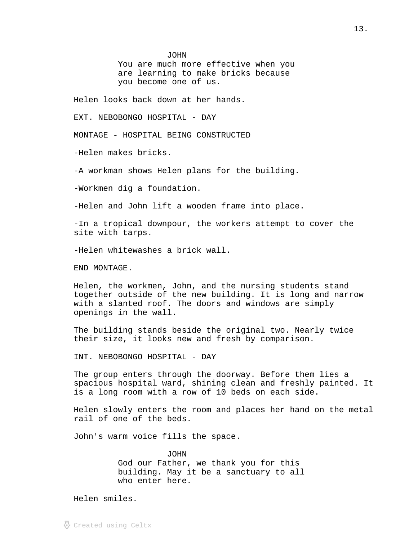JOHN

You are much more effective when you are learning to make bricks because you become one of us.

Helen looks back down at her hands.

EXT. NEBOBONGO HOSPITAL - DAY

MONTAGE - HOSPITAL BEING CONSTRUCTED

-Helen makes bricks.

-A workman shows Helen plans for the building.

-Workmen dig a foundation.

-Helen and John lift a wooden frame into place.

-In a tropical downpour, the workers attempt to cover the site with tarps.

-Helen whitewashes a brick wall.

END MONTAGE.

Helen, the workmen, John, and the nursing students stand together outside of the new building. It is long and narrow with a slanted roof. The doors and windows are simply openings in the wall.

The building stands beside the original two. Nearly twice their size, it looks new and fresh by comparison.

INT. NEBOBONGO HOSPITAL - DAY

The group enters through the doorway. Before them lies a spacious hospital ward, shining clean and freshly painted. It is a long room with a row of 10 beds on each side.

Helen slowly enters the room and places her hand on the metal rail of one of the beds.

John's warm voice fills the space.

JOHN God our Father, we thank you for this building. May it be a sanctuary to all who enter here.

Helen smiles.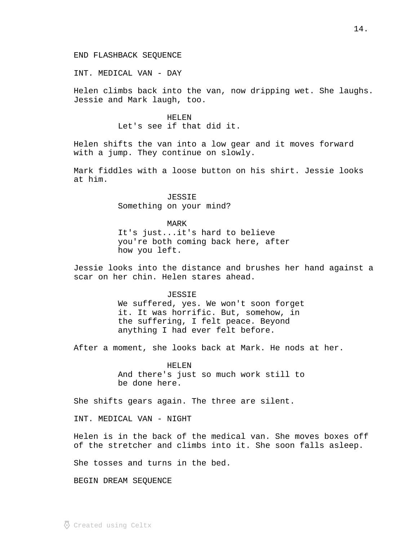INT. MEDICAL VAN - DAY

Helen climbs back into the van, now dripping wet. She laughs. Jessie and Mark laugh, too.

> HELEN Let's see if that did it.

Helen shifts the van into a low gear and it moves forward with a jump. They continue on slowly.

Mark fiddles with a loose button on his shirt. Jessie looks at him.

> JESSIE Something on your mind?

#### MARK

It's just...it's hard to believe you're both coming back here, after how you left.

Jessie looks into the distance and brushes her hand against a scar on her chin. Helen stares ahead.

JESSIE

We suffered, yes. We won't soon forget it. It was horrific. But, somehow, in the suffering, I felt peace. Beyond anything I had ever felt before.

After a moment, she looks back at Mark. He nods at her.

HELEN And there's just so much work still to be done here.

She shifts gears again. The three are silent.

INT. MEDICAL VAN - NIGHT

Helen is in the back of the medical van. She moves boxes off of the stretcher and climbs into it. She soon falls asleep.

She tosses and turns in the bed.

BEGIN DREAM SEQUENCE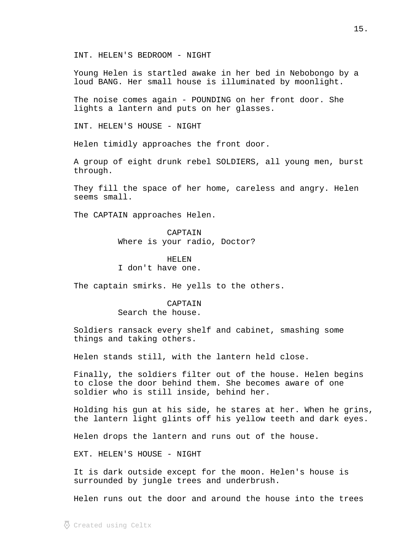Young Helen is startled awake in her bed in Nebobongo by a loud BANG. Her small house is illuminated by moonlight.

The noise comes again - POUNDING on her front door. She lights a lantern and puts on her glasses.

INT. HELEN'S HOUSE - NIGHT

Helen timidly approaches the front door.

A group of eight drunk rebel SOLDIERS, all young men, burst through.

They fill the space of her home, careless and angry. Helen seems small.

The CAPTAIN approaches Helen.

CAPTAIN Where is your radio, Doctor?

HELEN I don't have one.

The captain smirks. He yells to the others.

CAPTAIN Search the house.

Soldiers ransack every shelf and cabinet, smashing some things and taking others.

Helen stands still, with the lantern held close.

Finally, the soldiers filter out of the house. Helen begins to close the door behind them. She becomes aware of one soldier who is still inside, behind her.

Holding his gun at his side, he stares at her. When he grins, the lantern light glints off his yellow teeth and dark eyes.

Helen drops the lantern and runs out of the house.

EXT. HELEN'S HOUSE - NIGHT

It is dark outside except for the moon. Helen's house is surrounded by jungle trees and underbrush.

Helen runs out the door and around the house into the trees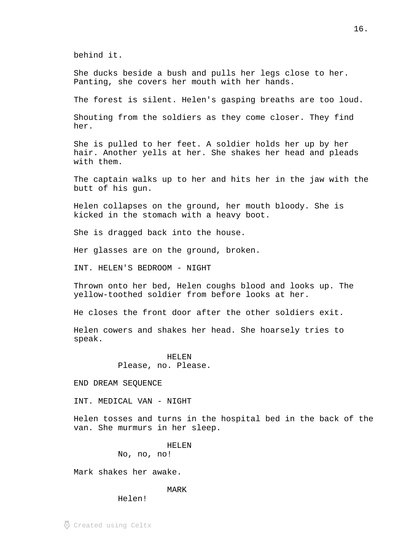behind it.

She ducks beside a bush and pulls her legs close to her. Panting, she covers her mouth with her hands.

The forest is silent. Helen's gasping breaths are too loud.

Shouting from the soldiers as they come closer. They find her.

She is pulled to her feet. A soldier holds her up by her hair. Another yells at her. She shakes her head and pleads with them.

The captain walks up to her and hits her in the jaw with the butt of his gun.

Helen collapses on the ground, her mouth bloody. She is kicked in the stomach with a heavy boot.

She is dragged back into the house.

Her glasses are on the ground, broken.

INT. HELEN'S BEDROOM - NIGHT

Thrown onto her bed, Helen coughs blood and looks up. The yellow-toothed soldier from before looks at her.

He closes the front door after the other soldiers exit.

Helen cowers and shakes her head. She hoarsely tries to speak.

> HELEN Please, no. Please.

END DREAM SEQUENCE

INT. MEDICAL VAN - NIGHT

Helen tosses and turns in the hospital bed in the back of the van. She murmurs in her sleep.

> HELEN No, no, no!

Mark shakes her awake.

MARK

Helen!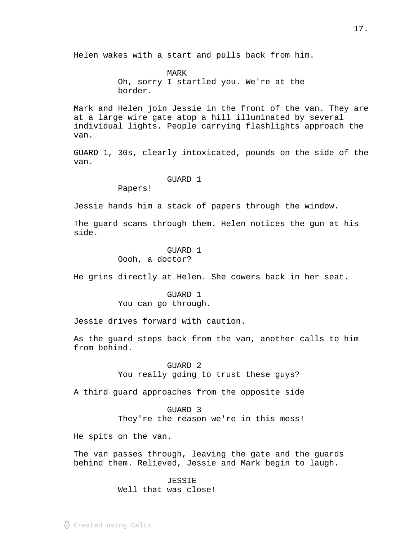Helen wakes with a start and pulls back from him.

MARK Oh, sorry I startled you. We're at the border.

Mark and Helen join Jessie in the front of the van. They are at a large wire gate atop a hill illuminated by several individual lights. People carrying flashlights approach the van.

GUARD 1, 30s, clearly intoxicated, pounds on the side of the van.

## GUARD 1

Papers!

Jessie hands him a stack of papers through the window.

The guard scans through them. Helen notices the gun at his side.

## GUARD 1 Oooh, a doctor?

He grins directly at Helen. She cowers back in her seat.

GUARD 1 You can go through.

Jessie drives forward with caution.

As the guard steps back from the van, another calls to him from behind.

> GUARD<sub>2</sub> You really going to trust these guys?

A third guard approaches from the opposite side

GUARD 3 They're the reason we're in this mess!

He spits on the van.

The van passes through, leaving the gate and the guards behind them. Relieved, Jessie and Mark begin to laugh.

# JESSIE

Well that was close!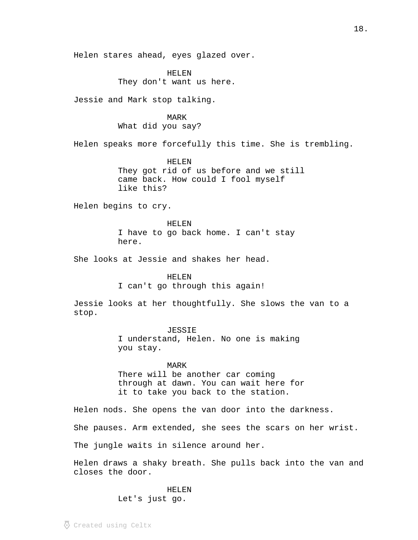Helen stares ahead, eyes glazed over.

HELEN They don't want us here.

Jessie and Mark stop talking.

MARK What did you say?

Helen speaks more forcefully this time. She is trembling.

HELEN They got rid of us before and we still came back. How could I fool myself like this?

Helen begins to cry.

HELEN I have to go back home. I can't stay here.

She looks at Jessie and shakes her head.

#### HELEN

I can't go through this again!

Jessie looks at her thoughtfully. She slows the van to a stop.

> JESSIE I understand, Helen. No one is making you stay.

MARK There will be another car coming through at dawn. You can wait here for it to take you back to the station.

Helen nods. She opens the van door into the darkness.

She pauses. Arm extended, she sees the scars on her wrist.

The jungle waits in silence around her.

Helen draws a shaky breath. She pulls back into the van and closes the door.

> HELEN Let's just go.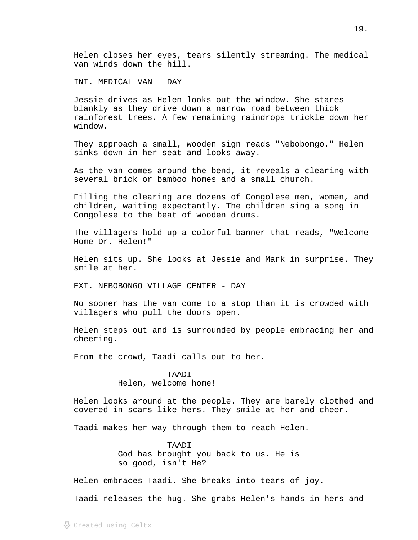Helen closes her eyes, tears silently streaming. The medical van winds down the hill.

INT. MEDICAL VAN - DAY

Jessie drives as Helen looks out the window. She stares blankly as they drive down a narrow road between thick rainforest trees. A few remaining raindrops trickle down her window.

They approach a small, wooden sign reads "Nebobongo." Helen sinks down in her seat and looks away.

As the van comes around the bend, it reveals a clearing with several brick or bamboo homes and a small church.

Filling the clearing are dozens of Congolese men, women, and children, waiting expectantly. The children sing a song in Congolese to the beat of wooden drums.

The villagers hold up a colorful banner that reads, "Welcome Home Dr. Helen!"

Helen sits up. She looks at Jessie and Mark in surprise. They smile at her.

EXT. NEBOBONGO VILLAGE CENTER - DAY

No sooner has the van come to a stop than it is crowded with villagers who pull the doors open.

Helen steps out and is surrounded by people embracing her and cheering.

From the crowd, Taadi calls out to her.

## TAADI

Helen, welcome home!

Helen looks around at the people. They are barely clothed and covered in scars like hers. They smile at her and cheer.

Taadi makes her way through them to reach Helen.

TAADI God has brought you back to us. He is so good, isn't He?

Helen embraces Taadi. She breaks into tears of joy.

Taadi releases the hug. She grabs Helen's hands in hers and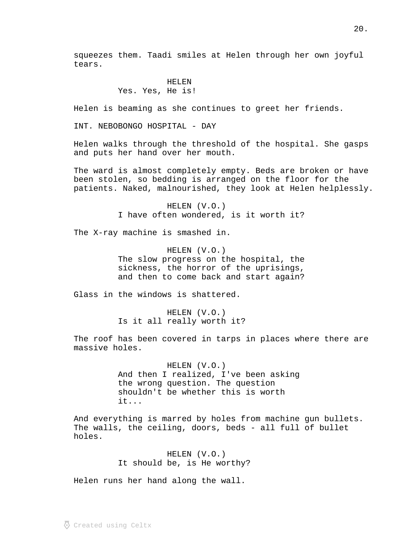squeezes them. Taadi smiles at Helen through her own joyful tears.

## HELEN Yes. Yes, He is!

Helen is beaming as she continues to greet her friends.

INT. NEBOBONGO HOSPITAL - DAY

Helen walks through the threshold of the hospital. She gasps and puts her hand over her mouth.

The ward is almost completely empty. Beds are broken or have been stolen, so bedding is arranged on the floor for the patients. Naked, malnourished, they look at Helen helplessly.

> HELEN (V.O.) I have often wondered, is it worth it?

The X-ray machine is smashed in.

HELEN (V.O.) The slow progress on the hospital, the sickness, the horror of the uprisings, and then to come back and start again?

Glass in the windows is shattered.

HELEN (V.O.) Is it all really worth it?

The roof has been covered in tarps in places where there are massive holes.

> HELEN (V.O.) And then I realized, I've been asking the wrong question. The question shouldn't be whether this is worth it...

And everything is marred by holes from machine gun bullets. The walls, the ceiling, doors, beds - all full of bullet holes.

> HELEN (V.O.) It should be, is He worthy?

Helen runs her hand along the wall.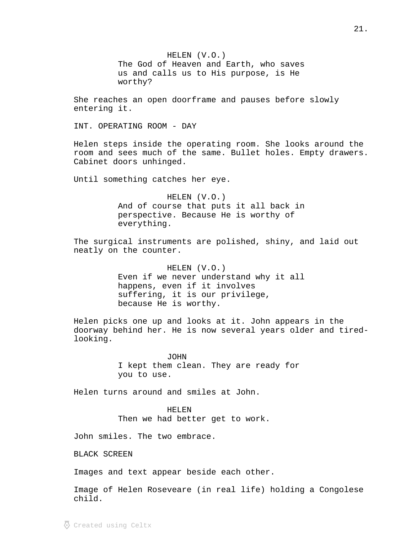HELEN (V.O.) The God of Heaven and Earth, who saves us and calls us to His purpose, is He worthy?

She reaches an open doorframe and pauses before slowly entering it.

INT. OPERATING ROOM - DAY

Helen steps inside the operating room. She looks around the room and sees much of the same. Bullet holes. Empty drawers. Cabinet doors unhinged.

Until something catches her eye.

HELEN (V.O.) And of course that puts it all back in perspective. Because He is worthy of everything.

The surgical instruments are polished, shiny, and laid out neatly on the counter.

> HELEN (V.O.) Even if we never understand why it all happens, even if it involves suffering, it is our privilege, because He is worthy.

Helen picks one up and looks at it. John appears in the doorway behind her. He is now several years older and tiredlooking.

> JOHN I kept them clean. They are ready for you to use.

Helen turns around and smiles at John.

HELEN Then we had better get to work.

John smiles. The two embrace.

BLACK SCREEN

Images and text appear beside each other.

Image of Helen Roseveare (in real life) holding a Congolese child.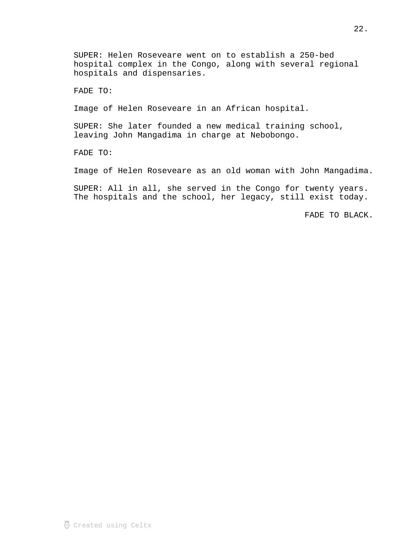SUPER: Helen Roseveare went on to establish a 250-bed hospital complex in the Congo, along with several regional hospitals and dispensaries.

FADE TO:

Image of Helen Roseveare in an African hospital.

SUPER: She later founded a new medical training school, leaving John Mangadima in charge at Nebobongo.

FADE TO:

Image of Helen Roseveare as an old woman with John Mangadima.

SUPER: All in all, she served in the Congo for twenty years. The hospitals and the school, her legacy, still exist today.

FADE TO BLACK.